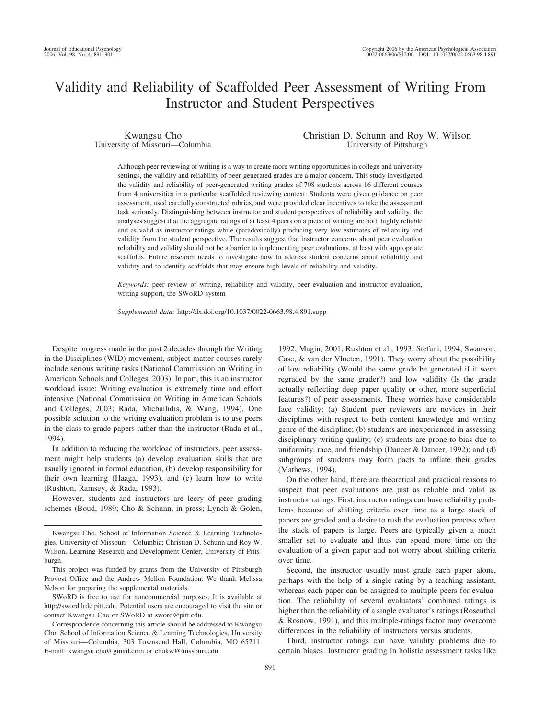# Validity and Reliability of Scaffolded Peer Assessment of Writing From Instructor and Student Perspectives

Kwangsu Cho University of Missouri—Columbia Christian D. Schunn and Roy W. Wilson University of Pittsburgh

Although peer reviewing of writing is a way to create more writing opportunities in college and university settings, the validity and reliability of peer-generated grades are a major concern. This study investigated the validity and reliability of peer-generated writing grades of 708 students across 16 different courses from 4 universities in a particular scaffolded reviewing context: Students were given guidance on peer assessment, used carefully constructed rubrics, and were provided clear incentives to take the assessment task seriously. Distinguishing between instructor and student perspectives of reliability and validity, the analyses suggest that the aggregate ratings of at least 4 peers on a piece of writing are both highly reliable and as valid as instructor ratings while (paradoxically) producing very low estimates of reliability and validity from the student perspective. The results suggest that instructor concerns about peer evaluation reliability and validity should not be a barrier to implementing peer evaluations, at least with appropriate scaffolds. Future research needs to investigate how to address student concerns about reliability and validity and to identify scaffolds that may ensure high levels of reliability and validity.

*Keywords:* peer review of writing, reliability and validity, peer evaluation and instructor evaluation, writing support, the SWoRD system

*Supplemental data:* http://dx.doi.org/10.1037/0022-0663.98.4.891.supp

Despite progress made in the past 2 decades through the Writing in the Disciplines (WID) movement, subject-matter courses rarely include serious writing tasks (National Commission on Writing in American Schools and Colleges, 2003). In part, this is an instructor workload issue: Writing evaluation is extremely time and effort intensive (National Commission on Writing in American Schools and Colleges, 2003; Rada, Michailidis, & Wang, 1994). One possible solution to the writing evaluation problem is to use peers in the class to grade papers rather than the instructor (Rada et al., 1994).

In addition to reducing the workload of instructors, peer assessment might help students (a) develop evaluation skills that are usually ignored in formal education, (b) develop responsibility for their own learning (Haaga, 1993), and (c) learn how to write (Rushton, Ramsey, & Rada, 1993).

However, students and instructors are leery of peer grading schemes (Boud, 1989; Cho & Schunn, in press; Lynch & Golen,

SWoRD is free to use for noncommercial purposes. It is available at http://sword.lrdc.pitt.edu. Potential users are encouraged to visit the site or contact Kwangsu Cho or SWoRD at sword@pitt.edu.

Correspondence concerning this article should be addressed to Kwangsu Cho, School of Information Science & Learning Technologies, University of Missouri—Columbia, 303 Townsend Hall, Columbia, MO 65211. E-mail: kwangsu.cho@gmail.com or chokw@missouri.edu

1992; Magin, 2001; Rushton et al., 1993; Stefani, 1994; Swanson, Case, & van der Vlueten, 1991). They worry about the possibility of low reliability (Would the same grade be generated if it were regraded by the same grader?) and low validity (Is the grade actually reflecting deep paper quality or other, more superficial features?) of peer assessments. These worries have considerable face validity: (a) Student peer reviewers are novices in their disciplines with respect to both content knowledge and writing genre of the discipline; (b) students are inexperienced in assessing disciplinary writing quality; (c) students are prone to bias due to uniformity, race, and friendship (Dancer & Dancer, 1992); and (d) subgroups of students may form pacts to inflate their grades (Mathews, 1994).

On the other hand, there are theoretical and practical reasons to suspect that peer evaluations are just as reliable and valid as instructor ratings. First, instructor ratings can have reliability problems because of shifting criteria over time as a large stack of papers are graded and a desire to rush the evaluation process when the stack of papers is large. Peers are typically given a much smaller set to evaluate and thus can spend more time on the evaluation of a given paper and not worry about shifting criteria over time.

Second, the instructor usually must grade each paper alone, perhaps with the help of a single rating by a teaching assistant, whereas each paper can be assigned to multiple peers for evaluation. The reliability of several evaluators' combined ratings is higher than the reliability of a single evaluator's ratings (Rosenthal & Rosnow, 1991), and this multiple-ratings factor may overcome differences in the reliability of instructors versus students.

Third, instructor ratings can have validity problems due to certain biases. Instructor grading in holistic assessment tasks like

Kwangsu Cho, School of Information Science & Learning Technologies, University of Missouri—Columbia; Christian D. Schunn and Roy W. Wilson, Learning Research and Development Center, University of Pittsburgh.

This project was funded by grants from the University of Pittsburgh Provost Office and the Andrew Mellon Foundation. We thank Melissa Nelson for preparing the supplemental materials.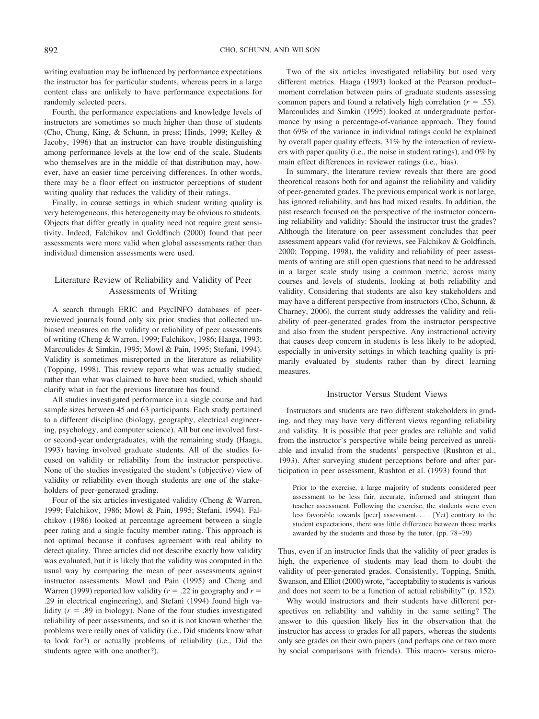writing evaluation may be influenced by performance expectations the instructor has for particular students, whereas peers in a large content class are unlikely to have performance expectations for randomly selected peers.

Fourth, the performance expectations and knowledge levels of instructors are sometimes so much higher than those of students (Cho, Chung, King, & Schunn, in press; Hinds, 1999; Kelley & Jacoby, 1996) that an instructor can have trouble distinguishing among performance levels at the low end of the scale. Students who themselves are in the middle of that distribution may, however, have an easier time perceiving differences. In other words, there may be a floor effect on instructor perceptions of student writing quality that reduces the validity of their ratings.

Finally, in course settings in which student writing quality is very heterogeneous, this heterogeneity may be obvious to students. Objects that differ greatly in quality need not require great sensitivity. Indeed, Falchikov and Goldfinch (2000) found that peer assessments were more valid when global assessments rather than individual dimension assessments were used.

# Literature Review of Reliability and Validity of Peer Assessments of Writing

A search through ERIC and PsycINFO databases of peerreviewed journals found only six prior studies that collected unbiased measures on the validity or reliability of peer assessments of writing (Cheng & Warren, 1999; Falchikov, 1986; Haaga, 1993; Marcoulides & Simkin, 1995; Mowl & Pain, 1995; Stefani, 1994). Validity is sometimes misreported in the literature as reliability (Topping, 1998). This review reports what was actually studied, rather than what was claimed to have been studied, which should clarify what in fact the previous literature has found.

All studies investigated performance in a single course and had sample sizes between 45 and 63 participants. Each study pertained to a different discipline (biology, geography, electrical engineering, psychology, and computer science). All but one involved firstor second-year undergraduates, with the remaining study (Haaga, 1993) having involved graduate students. All of the studies focused on validity or reliability from the instructor perspective. None of the studies investigated the student's (objective) view of validity or reliability even though students are one of the stakeholders of peer-generated grading.

Four of the six articles investigated validity (Cheng & Warren, 1999; Falchikov, 1986; Mowl & Pain, 1995; Stefani, 1994). Falchikov (1986) looked at percentage agreement between a single peer rating and a single faculty member rating. This approach is not optimal because it confuses agreement with real ability to detect quality. Three articles did not describe exactly how validity was evaluated, but it is likely that the validity was computed in the usual way by comparing the mean of peer assessments against instructor assessments. Mowl and Pain (1995) and Cheng and Warren (1999) reported low validity ( $r = .22$  in geography and  $r =$ .29 in electrical engineering), and Stefani (1994) found high validity  $(r = .89$  in biology). None of the four studies investigated reliability of peer assessments, and so it is not known whether the problems were really ones of validity (i.e., Did students know what to look for?) or actually problems of reliability (i.e., Did the students agree with one another?).

Two of the six articles investigated reliability but used very different metrics. Haaga (1993) looked at the Pearson product– moment correlation between pairs of graduate students assessing common papers and found a relatively high correlation  $(r = .55)$ . Marcoulides and Simkin (1995) looked at undergraduate performance by using a percentage-of-variance approach. They found that 69% of the variance in individual ratings could be explained by overall paper quality effects, 31% by the interaction of reviewers with paper quality (i.e., the noise in student ratings), and 0% by main effect differences in reviewer ratings (i.e., bias).

In summary, the literature review reveals that there are good theoretical reasons both for and against the reliability and validity of peer-generated grades. The previous empirical work is not large, has ignored reliability, and has had mixed results. In addition, the past research focused on the perspective of the instructor concerning reliability and validity: Should the instructor trust the grades? Although the literature on peer assessment concludes that peer assessment appears valid (for reviews, see Falchikov & Goldfinch, 2000; Topping, 1998), the validity and reliability of peer assessments of writing are still open questions that need to be addressed in a larger scale study using a common metric, across many courses and levels of students, looking at both reliability and validity. Considering that students are also key stakeholders and may have a different perspective from instructors (Cho, Schunn, & Charney, 2006), the current study addresses the validity and reliability of peer-generated grades from the instructor perspective and also from the student perspective. Any instructional activity that causes deep concern in students is less likely to be adopted, especially in university settings in which teaching quality is primarily evaluated by students rather than by direct learning measures.

# Instructor Versus Student Views

Instructors and students are two different stakeholders in grading, and they may have very different views regarding reliability and validity. It is possible that peer grades are reliable and valid from the instructor's perspective while being perceived as unreliable and invalid from the students' perspective (Rushton et al., 1993). After surveying student perceptions before and after participation in peer assessment, Rushton et al. (1993) found that

Prior to the exercise, a large majority of students considered peer assessment to be less fair, accurate, informed and stringent than teacher assessment. Following the exercise, the students were even less favorable towards [peer] assessment. . . . [Yet] contrary to the student expectations, there was little difference between those marks awarded by the students and those by the tutor. (pp. 78 –79)

Thus, even if an instructor finds that the validity of peer grades is high, the experience of students may lead them to doubt the validity of peer-generated grades. Consistently, Topping, Smith, Swanson, and Elliot (2000) wrote, "acceptability to students is various and does not seem to be a function of actual reliability" (p. 152).

Why would instructors and their students have different perspectives on reliability and validity in the same setting? The answer to this question likely lies in the observation that the instructor has access to grades for all papers, whereas the students only see grades on their own papers (and perhaps one or two more by social comparisons with friends). This macro- versus micro-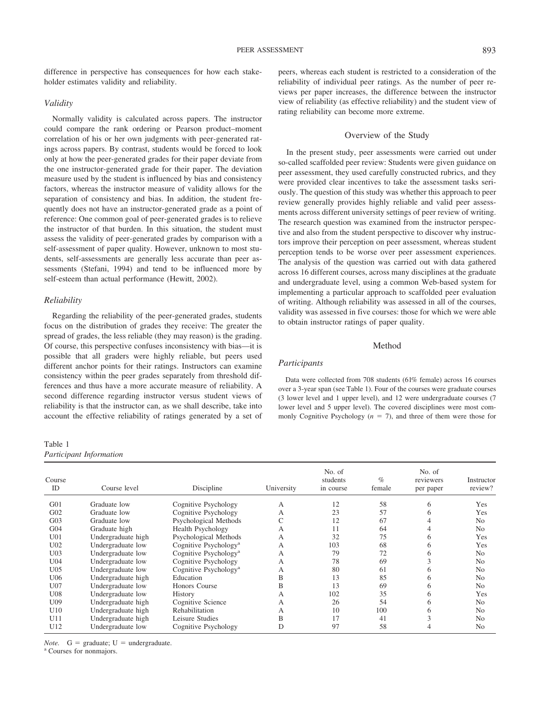difference in perspective has consequences for how each stakeholder estimates validity and reliability.

## *Validity*

Normally validity is calculated across papers. The instructor could compare the rank ordering or Pearson product–moment correlation of his or her own judgments with peer-generated ratings across papers. By contrast, students would be forced to look only at how the peer-generated grades for their paper deviate from the one instructor-generated grade for their paper. The deviation measure used by the student is influenced by bias and consistency factors, whereas the instructor measure of validity allows for the separation of consistency and bias. In addition, the student frequently does not have an instructor-generated grade as a point of reference: One common goal of peer-generated grades is to relieve the instructor of that burden. In this situation, the student must assess the validity of peer-generated grades by comparison with a self-assessment of paper quality. However, unknown to most students, self-assessments are generally less accurate than peer assessments (Stefani, 1994) and tend to be influenced more by self-esteem than actual performance (Hewitt, 2002).

# *Reliability*

Regarding the reliability of the peer-generated grades, students focus on the distribution of grades they receive: The greater the spread of grades, the less reliable (they may reason) is the grading. Of course, this perspective confuses inconsistency with bias—it is possible that all graders were highly reliable, but peers used different anchor points for their ratings. Instructors can examine consistency within the peer grades separately from threshold differences and thus have a more accurate measure of reliability. A second difference regarding instructor versus student views of reliability is that the instructor can, as we shall describe, take into account the effective reliability of ratings generated by a set of

# Table 1 *Participant Information*

peers, whereas each student is restricted to a consideration of the reliability of individual peer ratings. As the number of peer reviews per paper increases, the difference between the instructor view of reliability (as effective reliability) and the student view of rating reliability can become more extreme.

## Overview of the Study

In the present study, peer assessments were carried out under so-called scaffolded peer review: Students were given guidance on peer assessment, they used carefully constructed rubrics, and they were provided clear incentives to take the assessment tasks seriously. The question of this study was whether this approach to peer review generally provides highly reliable and valid peer assessments across different university settings of peer review of writing. The research question was examined from the instructor perspective and also from the student perspective to discover why instructors improve their perception on peer assessment, whereas student perception tends to be worse over peer assessment experiences. The analysis of the question was carried out with data gathered across 16 different courses, across many disciplines at the graduate and undergraduate level, using a common Web-based system for implementing a particular approach to scaffolded peer evaluation of writing. Although reliability was assessed in all of the courses, validity was assessed in five courses: those for which we were able to obtain instructor ratings of paper quality.

# Method

# *Participants*

Data were collected from 708 students (61% female) across 16 courses over a 3-year span (see Table 1). Four of the courses were graduate courses (3 lower level and 1 upper level), and 12 were undergraduate courses (7 lower level and 5 upper level). The covered disciplines were most commonly Cognitive Psychology  $(n = 7)$ , and three of them were those for

| Course<br>ID    | Course level       | Discipline                        | University | No. of<br>students<br>in course | $\%$<br>female | No. of<br>reviewers<br>per paper | Instructor<br>review? |
|-----------------|--------------------|-----------------------------------|------------|---------------------------------|----------------|----------------------------------|-----------------------|
| G <sub>01</sub> | Graduate low       | Cognitive Psychology              | А          | 12                              | 58             | 6                                | Yes                   |
| G <sub>02</sub> | Graduate low       | Cognitive Psychology              | А          | 23                              | 57             |                                  | Yes                   |
| G <sub>03</sub> | Graduate low       | Psychological Methods             |            | 12                              | 67             |                                  | N <sub>0</sub>        |
| G <sub>04</sub> | Graduate high      | Health Psychology                 | A          | 11                              | 64             |                                  | N <sub>0</sub>        |
| U <sub>01</sub> | Undergraduate high | Psychological Methods             | A          | 32                              | 75             | h.                               | Yes                   |
| U <sub>02</sub> | Undergraduate low  | Cognitive Psychology <sup>a</sup> | А          | 103                             | 68             | <sub>6</sub>                     | Yes                   |
| U <sub>03</sub> | Undergraduate low  | Cognitive Psychology <sup>a</sup> | А          | 79                              | 72             | 6                                | N <sub>0</sub>        |
| U <sub>04</sub> | Undergraduate low  | Cognitive Psychology              | А          | 78                              | 69             |                                  | N <sub>0</sub>        |
| U <sub>05</sub> | Undergraduate low  | Cognitive Psychology <sup>a</sup> | А          | 80                              | 61             | n                                | N <sub>0</sub>        |
| U06             | Undergraduate high | Education                         | B          | 13                              | 85             | 6                                | N <sub>0</sub>        |
| U <sub>07</sub> | Undergraduate low  | Honors Course                     | B          | 13                              | 69             | <sub>6</sub>                     | N <sub>0</sub>        |
| U08             | Undergraduate low  | History                           | А          | 102                             | 35             | <sub>0</sub>                     | Yes                   |
| U09             | Undergraduate high | Cognitive Science                 | А          | 26                              | 54             | 6                                | N <sub>0</sub>        |
| U10             | Undergraduate high | Rehabilitation                    | А          | 10                              | 100            | <sub>6</sub>                     | N <sub>0</sub>        |
| U11             | Undergraduate high | Leisure Studies                   | B          | 17                              | 41             |                                  | N <sub>0</sub>        |
| U12             | Undergraduate low  | Cognitive Psychology              | D          | 97                              | 58             |                                  | N <sub>0</sub>        |

*Note.*  $G = \text{graduate}$ ;  $U = \text{undergraduate}$ .<br><sup>a</sup> Courses for nonmajors.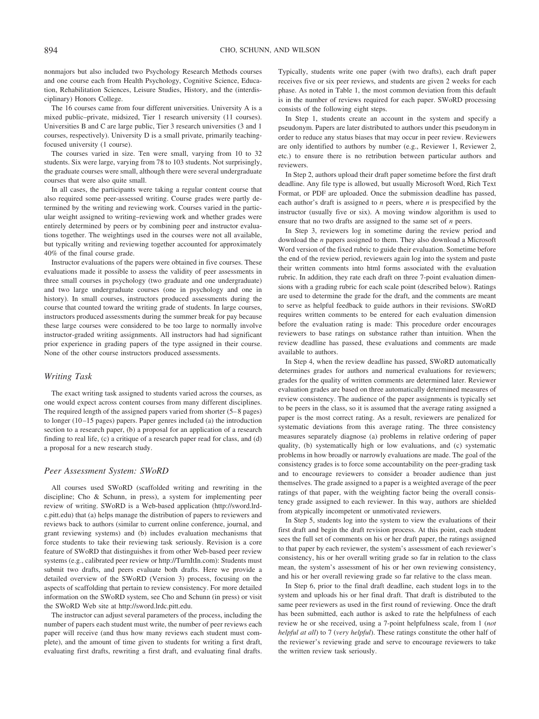nonmajors but also included two Psychology Research Methods courses and one course each from Health Psychology, Cognitive Science, Education, Rehabilitation Sciences, Leisure Studies, History, and the (interdisciplinary) Honors College.

The 16 courses came from four different universities. University A is a mixed public–private, midsized, Tier 1 research university (11 courses). Universities B and C are large public, Tier 3 research universities (3 and 1 courses, respectively). University D is a small private, primarily teachingfocused university (1 course).

The courses varied in size. Ten were small, varying from 10 to 32 students. Six were large, varying from 78 to 103 students. Not surprisingly, the graduate courses were small, although there were several undergraduate courses that were also quite small.

In all cases, the participants were taking a regular content course that also required some peer-assessed writing. Course grades were partly determined by the writing and reviewing work. Courses varied in the particular weight assigned to writing–reviewing work and whether grades were entirely determined by peers or by combining peer and instructor evaluations together. The weightings used in the courses were not all available, but typically writing and reviewing together accounted for approximately 40% of the final course grade.

Instructor evaluations of the papers were obtained in five courses. These evaluations made it possible to assess the validity of peer assessments in three small courses in psychology (two graduate and one undergraduate) and two large undergraduate courses (one in psychology and one in history). In small courses, instructors produced assessments during the course that counted toward the writing grade of students. In large courses, instructors produced assessments during the summer break for pay because these large courses were considered to be too large to normally involve instructor-graded writing assignments. All instructors had had significant prior experience in grading papers of the type assigned in their course. None of the other course instructors produced assessments.

#### *Writing Task*

The exact writing task assigned to students varied across the courses, as one would expect across content courses from many different disciplines. The required length of the assigned papers varied from shorter (5– 8 pages) to longer (10 –15 pages) papers. Paper genres included (a) the introduction section to a research paper, (b) a proposal for an application of a research finding to real life, (c) a critique of a research paper read for class, and (d) a proposal for a new research study.

#### *Peer Assessment System: SWoRD*

All courses used SWoRD (scaffolded writing and rewriting in the discipline; Cho & Schunn, in press), a system for implementing peer review of writing. SWoRD is a Web-based application (http://sword.lrdc.pitt.edu) that (a) helps manage the distribution of papers to reviewers and reviews back to authors (similar to current online conference, journal, and grant reviewing systems) and (b) includes evaluation mechanisms that force students to take their reviewing task seriously. Revision is a core feature of SWoRD that distinguishes it from other Web-based peer review systems (e.g., calibrated peer review or http://TurnItIn.com): Students must submit two drafts, and peers evaluate both drafts. Here we provide a detailed overview of the SWoRD (Version 3) process, focusing on the aspects of scaffolding that pertain to review consistency. For more detailed information on the SWoRD system, see Cho and Schunn (in press) or visit the SWoRD Web site at http://sword.lrdc.pitt.edu.

The instructor can adjust several parameters of the process, including the number of papers each student must write, the number of peer reviews each paper will receive (and thus how many reviews each student must complete), and the amount of time given to students for writing a first draft, evaluating first drafts, rewriting a first draft, and evaluating final drafts.

Typically, students write one paper (with two drafts), each draft paper receives five or six peer reviews, and students are given 2 weeks for each phase. As noted in Table 1, the most common deviation from this default is in the number of reviews required for each paper. SWoRD processing consists of the following eight steps.

In Step 1, students create an account in the system and specify a pseudonym. Papers are later distributed to authors under this pseudonym in order to reduce any status biases that may occur in peer review. Reviewers are only identified to authors by number (e.g., Reviewer 1, Reviewer 2, etc.) to ensure there is no retribution between particular authors and reviewers.

In Step 2, authors upload their draft paper sometime before the first draft deadline. Any file type is allowed, but usually Microsoft Word, Rich Text Format, or PDF are uploaded. Once the submission deadline has passed, each author's draft is assigned to *n* peers, where *n* is prespecified by the instructor (usually five or six). A moving window algorithm is used to ensure that no two drafts are assigned to the same set of *n* peers.

In Step 3, reviewers log in sometime during the review period and download the *n* papers assigned to them. They also download a Microsoft Word version of the fixed rubric to guide their evaluation. Sometime before the end of the review period, reviewers again log into the system and paste their written comments into html forms associated with the evaluation rubric. In addition, they rate each draft on three 7-point evaluation dimensions with a grading rubric for each scale point (described below). Ratings are used to determine the grade for the draft, and the comments are meant to serve as helpful feedback to guide authors in their revisions. SWoRD requires written comments to be entered for each evaluation dimension before the evaluation rating is made: This procedure order encourages reviewers to base ratings on substance rather than intuition. When the review deadline has passed, these evaluations and comments are made available to authors.

In Step 4, when the review deadline has passed, SWoRD automatically determines grades for authors and numerical evaluations for reviewers; grades for the quality of written comments are determined later. Reviewer evaluation grades are based on three automatically determined measures of review consistency. The audience of the paper assignments is typically set to be peers in the class, so it is assumed that the average rating assigned a paper is the most correct rating. As a result, reviewers are penalized for systematic deviations from this average rating. The three consistency measures separately diagnose (a) problems in relative ordering of paper quality, (b) systematically high or low evaluations, and (c) systematic problems in how broadly or narrowly evaluations are made. The goal of the consistency grades is to force some accountability on the peer-grading task and to encourage reviewers to consider a broader audience than just themselves. The grade assigned to a paper is a weighted average of the peer ratings of that paper, with the weighting factor being the overall consistency grade assigned to each reviewer. In this way, authors are shielded from atypically incompetent or unmotivated reviewers.

In Step 5, students log into the system to view the evaluations of their first draft and begin the draft revision process. At this point, each student sees the full set of comments on his or her draft paper, the ratings assigned to that paper by each reviewer, the system's assessment of each reviewer's consistency, his or her overall writing grade so far in relation to the class mean, the system's assessment of his or her own reviewing consistency, and his or her overall reviewing grade so far relative to the class mean.

In Step 6, prior to the final draft deadline, each student logs in to the system and uploads his or her final draft. That draft is distributed to the same peer reviewers as used in the first round of reviewing. Once the draft has been submitted, each author is asked to rate the helpfulness of each review he or she received, using a 7-point helpfulness scale, from 1 (*not helpful at all*) to 7 (*very helpful*). These ratings constitute the other half of the reviewer's reviewing grade and serve to encourage reviewers to take the written review task seriously.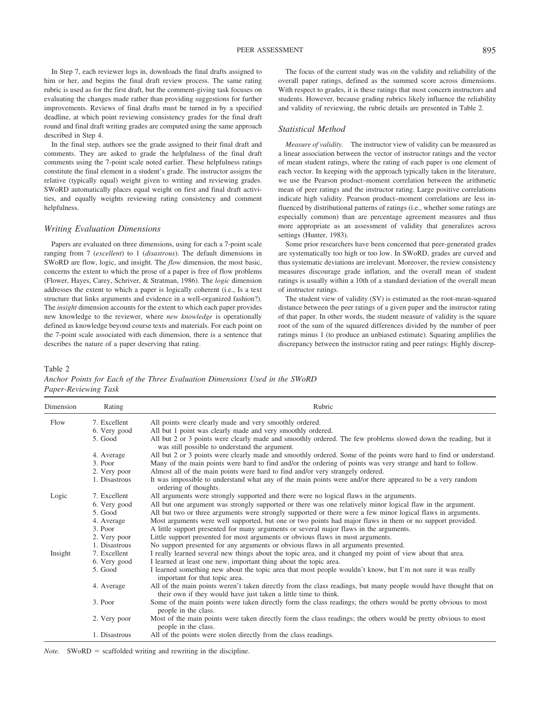In Step 7, each reviewer logs in, downloads the final drafts assigned to him or her, and begins the final draft review process. The same rating rubric is used as for the first draft, but the comment-giving task focuses on evaluating the changes made rather than providing suggestions for further improvements. Reviews of final drafts must be turned in by a specified deadline, at which point reviewing consistency grades for the final draft round and final draft writing grades are computed using the same approach described in Step 4.

In the final step, authors see the grade assigned to their final draft and comments. They are asked to grade the helpfulness of the final draft comments using the 7-point scale noted earlier. These helpfulness ratings constitute the final element in a student's grade. The instructor assigns the relative (typically equal) weight given to writing and reviewing grades. SWoRD automatically places equal weight on first and final draft activities, and equally weights reviewing rating consistency and comment helpfulness.

# *Writing Evaluation Dimensions*

Papers are evaluated on three dimensions, using for each a 7-point scale ranging from 7 (*excellent*) to 1 (*disastrous*). The default dimensions in SWoRD are flow, logic, and insight. The *flow* dimension, the most basic, concerns the extent to which the prose of a paper is free of flow problems (Flower, Hayes, Carey, Schriver, & Stratman, 1986). The *logic* dimension addresses the extent to which a paper is logically coherent (i.e., Is a text structure that links arguments and evidence in a well-organized fashion?). The *insight* dimension accounts for the extent to which each paper provides new knowledge to the reviewer, where *new knowledge* is operationally defined as knowledge beyond course texts and materials. For each point on the 7-point scale associated with each dimension, there is a sentence that describes the nature of a paper deserving that rating.

The focus of the current study was on the validity and reliability of the overall paper ratings, defined as the summed score across dimensions. With respect to grades, it is these ratings that most concern instructors and students. However, because grading rubrics likely influence the reliability and validity of reviewing, the rubric details are presented in Table 2.

# *Statistical Method*

*Measure of validity.* The instructor view of validity can be measured as a linear association between the vector of instructor ratings and the vector of mean student ratings, where the rating of each paper is one element of each vector. In keeping with the approach typically taken in the literature, we use the Pearson product–moment correlation between the arithmetic mean of peer ratings and the instructor rating. Large positive correlations indicate high validity. Pearson product–moment correlations are less influenced by distributional patterns of ratings (i.e., whether some ratings are especially common) than are percentage agreement measures and thus more appropriate as an assessment of validity that generalizes across settings (Hunter, 1983).

Some prior researchers have been concerned that peer-generated grades are systematically too high or too low. In SWoRD, grades are curved and thus systematic deviations are irrelevant. Moreover, the review consistency measures discourage grade inflation, and the overall mean of student ratings is usually within a 10th of a standard deviation of the overall mean of instructor ratings.

The student view of validity (SV) is estimated as the root-mean-squared distance between the peer ratings of a given paper and the instructor rating of that paper. In other words, the student measure of validity is the square root of the sum of the squared differences divided by the number of peer ratings minus 1 (to produce an unbiased estimate). Squaring amplifies the discrepancy between the instructor rating and peer ratings: Highly discrep-

Table 2

*Anchor Points for Each of the Three Evaluation Dimensions Used in the SWoRD Paper-Reviewing Task*

| Dimension | Rating        | Rubric                                                                                                                                                                               |  |  |  |  |  |  |
|-----------|---------------|--------------------------------------------------------------------------------------------------------------------------------------------------------------------------------------|--|--|--|--|--|--|
| Flow      | 7. Excellent  | All points were clearly made and very smoothly ordered.                                                                                                                              |  |  |  |  |  |  |
|           | 6. Very good  | All but 1 point was clearly made and very smoothly ordered.                                                                                                                          |  |  |  |  |  |  |
|           | 5. Good       | All but 2 or 3 points were clearly made and smoothly ordered. The few problems slowed down the reading, but it<br>was still possible to understand the argument.                     |  |  |  |  |  |  |
|           | 4. Average    | All but 2 or 3 points were clearly made and smoothly ordered. Some of the points were hard to find or understand.                                                                    |  |  |  |  |  |  |
|           | 3. Poor       | Many of the main points were hard to find and/or the ordering of points was very strange and hard to follow.                                                                         |  |  |  |  |  |  |
|           | 2. Very poor  | Almost all of the main points were hard to find and/or very strangely ordered.                                                                                                       |  |  |  |  |  |  |
|           | 1. Disastrous | It was impossible to understand what any of the main points were and/or there appeared to be a very random<br>ordering of thoughts.                                                  |  |  |  |  |  |  |
| Logic     | 7. Excellent  | All arguments were strongly supported and there were no logical flaws in the arguments.                                                                                              |  |  |  |  |  |  |
|           | 6. Very good  | All but one argument was strongly supported or there was one relatively minor logical flaw in the argument.                                                                          |  |  |  |  |  |  |
|           | 5. Good       | All but two or three arguments were strongly supported or there were a few minor logical flaws in arguments.                                                                         |  |  |  |  |  |  |
|           | 4. Average    | Most arguments were well supported, but one or two points had major flaws in them or no support provided.                                                                            |  |  |  |  |  |  |
|           | 3. Poor       | A little support presented for many arguments or several major flaws in the arguments.                                                                                               |  |  |  |  |  |  |
|           | 2. Very poor  | Little support presented for most arguments or obvious flaws in most arguments.                                                                                                      |  |  |  |  |  |  |
|           | 1. Disastrous | No support presented for any arguments or obvious flaws in all arguments presented.                                                                                                  |  |  |  |  |  |  |
| Insight   | 7. Excellent  | I really learned several new things about the topic area, and it changed my point of view about that area.                                                                           |  |  |  |  |  |  |
|           | 6. Very good  | I learned at least one new, important thing about the topic area.                                                                                                                    |  |  |  |  |  |  |
|           | 5. Good       | I learned something new about the topic area that most people wouldn't know, but I'm not sure it was really<br>important for that topic area.                                        |  |  |  |  |  |  |
|           | 4. Average    | All of the main points weren't taken directly from the class readings, but many people would have thought that on<br>their own if they would have just taken a little time to think. |  |  |  |  |  |  |
|           | 3. Poor       | Some of the main points were taken directly form the class readings; the others would be pretty obvious to most<br>people in the class.                                              |  |  |  |  |  |  |
|           | 2. Very poor  | Most of the main points were taken directly form the class readings; the others would be pretty obvious to most<br>people in the class.                                              |  |  |  |  |  |  |
|           | 1. Disastrous | All of the points were stolen directly from the class readings.                                                                                                                      |  |  |  |  |  |  |

*Note.* SWoRD = scaffolded writing and rewriting in the discipline.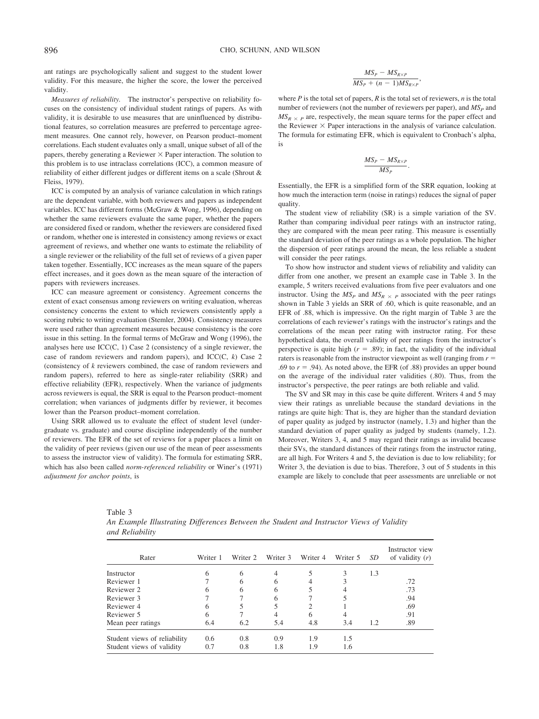ant ratings are psychologically salient and suggest to the student lower validity. For this measure, the higher the score, the lower the perceived validity.

*Measures of reliability.* The instructor's perspective on reliability focuses on the consistency of individual student ratings of papers. As with validity, it is desirable to use measures that are uninfluenced by distributional features, so correlation measures are preferred to percentage agreement measures. One cannot rely, however, on Pearson product–moment correlations. Each student evaluates only a small, unique subset of all of the papers, thereby generating a Reviewer  $\times$  Paper interaction. The solution to this problem is to use intraclass correlations (ICC), a common measure of reliability of either different judges or different items on a scale (Shrout & Fleiss, 1979).

ICC is computed by an analysis of variance calculation in which ratings are the dependent variable, with both reviewers and papers as independent variables. ICC has different forms (McGraw & Wong, 1996), depending on whether the same reviewers evaluate the same paper, whether the papers are considered fixed or random, whether the reviewers are considered fixed or random, whether one is interested in consistency among reviews or exact agreement of reviews, and whether one wants to estimate the reliability of a single reviewer or the reliability of the full set of reviews of a given paper taken together. Essentially, ICC increases as the mean square of the papers effect increases, and it goes down as the mean square of the interaction of papers with reviewers increases.

ICC can measure agreement or consistency. Agreement concerns the extent of exact consensus among reviewers on writing evaluation, whereas consistency concerns the extent to which reviewers consistently apply a scoring rubric to writing evaluation (Stemler, 2004). Consistency measures were used rather than agreement measures because consistency is the core issue in this setting. In the formal terms of McGraw and Wong (1996), the analyses here use  $ICC(C, 1)$  Case 2 (consistency of a single reviewer, the case of random reviewers and random papers), and ICC(C, *k*) Case 2 (consistency of *k* reviewers combined, the case of random reviewers and random papers), referred to here as single-rater reliability (SRR) and effective reliability (EFR), respectively. When the variance of judgments across reviewers is equal, the SRR is equal to the Pearson product–moment correlation; when variances of judgments differ by reviewer, it becomes lower than the Pearson product–moment correlation.

Using SRR allowed us to evaluate the effect of student level (undergraduate vs. graduate) and course discipline independently of the number of reviewers. The EFR of the set of reviews for a paper places a limit on the validity of peer reviews (given our use of the mean of peer assessments to assess the instructor view of validity). The formula for estimating SRR, which has also been called *norm-referenced reliability* or Winer's (1971) *adjustment for anchor points*, is

$$
\frac{MS_P - MS_{R\times P}}{MS_P + (n-1)MS_{R\times P}},
$$

where  $P$  is the total set of papers,  $R$  is the total set of reviewers,  $n$  is the total number of reviewers (not the number of reviewers per paper), and  $MS<sub>P</sub>$  and  $MS_{R \times P}$  are, respectively, the mean square terms for the paper effect and the Reviewer  $\times$  Paper interactions in the analysis of variance calculation. The formula for estimating EFR, which is equivalent to Cronbach's alpha, is

$$
\frac{MS_P - MS_{R\times P}}{MS_P}.
$$

Essentially, the EFR is a simplified form of the SRR equation, looking at how much the interaction term (noise in ratings) reduces the signal of paper quality.

The student view of reliability (SR) is a simple variation of the SV. Rather than comparing individual peer ratings with an instructor rating, they are compared with the mean peer rating. This measure is essentially the standard deviation of the peer ratings as a whole population. The higher the dispersion of peer ratings around the mean, the less reliable a student will consider the peer ratings.

To show how instructor and student views of reliability and validity can differ from one another, we present an example case in Table 3. In the example, 5 writers received evaluations from five peer evaluators and one instructor. Using the  $MS_P$  and  $MS_R \times P$  associated with the peer ratings shown in Table 3 yields an SRR of .60, which is quite reasonable, and an EFR of .88, which is impressive. On the right margin of Table 3 are the correlations of each reviewer's ratings with the instructor's ratings and the correlations of the mean peer rating with instructor rating. For these hypothetical data, the overall validity of peer ratings from the instructor's perspective is quite high  $(r = .89)$ ; in fact, the validity of the individual raters is reasonable from the instructor viewpoint as well (ranging from  $r =$ .69 to  $r = .94$ ). As noted above, the EFR (of .88) provides an upper bound on the average of the individual rater validities (.80). Thus, from the instructor's perspective, the peer ratings are both reliable and valid.

The SV and SR may in this case be quite different. Writers 4 and 5 may view their ratings as unreliable because the standard deviations in the ratings are quite high: That is, they are higher than the standard deviation of paper quality as judged by instructor (namely, 1.3) and higher than the standard deviation of paper quality as judged by students (namely, 1.2). Moreover, Writers 3, 4, and 5 may regard their ratings as invalid because their SVs, the standard distances of their ratings from the instructor rating, are all high. For Writers 4 and 5, the deviation is due to low reliability; for Writer 3, the deviation is due to bias. Therefore, 3 out of 5 students in this example are likely to conclude that peer assessments are unreliable or not

| Rater                        | Writer 1 | Writer 2     | Writer 3     | Writer 4 | Writer 5 | SD  | Instructor view<br>of validity $(r)$ |
|------------------------------|----------|--------------|--------------|----------|----------|-----|--------------------------------------|
| Instructor                   | 6        | 6            | 4            |          | 3        | 1.3 |                                      |
| Reviewer 1                   |          | <sub>(</sub> | <sub>(</sub> |          |          |     | .72                                  |
| Reviewer 2                   | h        | 6            | 6            |          |          |     | .73                                  |
| Reviewer 3                   |          |              | 6            |          |          |     | .94                                  |
| Reviewer 4                   | 6        |              |              |          |          |     | .69                                  |
| Reviewer 5                   | 6        |              |              | 6        |          |     | .91                                  |
| Mean peer ratings            | 6.4      | 6.2          | 5.4          | 4.8      | 3.4      | 1.2 | .89                                  |
| Student views of reliability | 0.6      | 0.8          | 0.9          | 1.9      | 1.5      |     |                                      |
| Student views of validity    | 0.7      | 0.8          | 1.8          | 1.9      | 1.6      |     |                                      |

*and Reliability*

| Table 3 |                                                                                          |  |  |  |  |
|---------|------------------------------------------------------------------------------------------|--|--|--|--|
|         | An Example Illustrating Differences Between the Student and Instructor Views of Validity |  |  |  |  |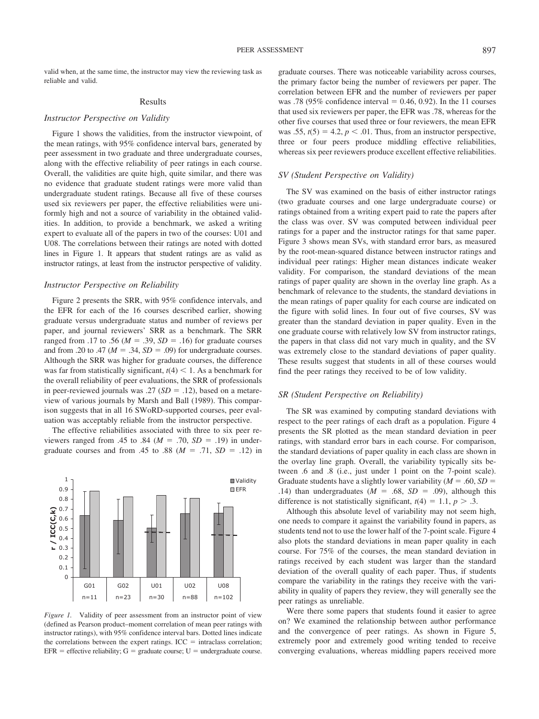valid when, at the same time, the instructor may view the reviewing task as reliable and valid.

#### Results

#### *Instructor Perspective on Validity*

Figure 1 shows the validities, from the instructor viewpoint, of the mean ratings, with 95% confidence interval bars, generated by peer assessment in two graduate and three undergraduate courses, along with the effective reliability of peer ratings in each course. Overall, the validities are quite high, quite similar, and there was no evidence that graduate student ratings were more valid than undergraduate student ratings. Because all five of these courses used six reviewers per paper, the effective reliabilities were uniformly high and not a source of variability in the obtained validities. In addition, to provide a benchmark, we asked a writing expert to evaluate all of the papers in two of the courses: U01 and U08. The correlations between their ratings are noted with dotted lines in Figure 1. It appears that student ratings are as valid as instructor ratings, at least from the instructor perspective of validity.

## *Instructor Perspective on Reliability*

Figure 2 presents the SRR, with 95% confidence intervals, and the EFR for each of the 16 courses described earlier, showing graduate versus undergraduate status and number of reviews per paper, and journal reviewers' SRR as a benchmark. The SRR ranged from .17 to .56 ( $M = .39$ ,  $SD = .16$ ) for graduate courses and from .20 to .47 ( $M = .34$ ,  $SD = .09$ ) for undergraduate courses. Although the SRR was higher for graduate courses, the difference was far from statistically significant,  $t(4) < 1$ . As a benchmark for the overall reliability of peer evaluations, the SRR of professionals in peer-reviewed journals was .27  $(SD = .12)$ , based on a metareview of various journals by Marsh and Ball (1989). This comparison suggests that in all 16 SWoRD-supported courses, peer evaluation was acceptably reliable from the instructor perspective.

The effective reliabilities associated with three to six peer reviewers ranged from .45 to .84 ( $M = .70$ ,  $SD = .19$ ) in undergraduate courses and from .45 to .88 ( $M = .71$ ,  $SD = .12$ ) in



*Figure 1.* Validity of peer assessment from an instructor point of view (defined as Pearson product–moment correlation of mean peer ratings with instructor ratings), with 95% confidence interval bars. Dotted lines indicate the correlations between the expert ratings.  $ICC = intraclass correlation;$ EFR = effective reliability;  $G =$  graduate course;  $U =$  undergraduate course.

graduate courses. There was noticeable variability across courses, the primary factor being the number of reviewers per paper. The correlation between EFR and the number of reviewers per paper was .78 (95% confidence interval  $= 0.46, 0.92$ ). In the 11 courses that used six reviewers per paper, the EFR was .78, whereas for the other five courses that used three or four reviewers, the mean EFR was .55,  $t(5) = 4.2$ ,  $p < .01$ . Thus, from an instructor perspective, three or four peers produce middling effective reliabilities, whereas six peer reviewers produce excellent effective reliabilities.

#### *SV (Student Perspective on Validity)*

The SV was examined on the basis of either instructor ratings (two graduate courses and one large undergraduate course) or ratings obtained from a writing expert paid to rate the papers after the class was over. SV was computed between individual peer ratings for a paper and the instructor ratings for that same paper. Figure 3 shows mean SVs, with standard error bars, as measured by the root-mean-squared distance between instructor ratings and individual peer ratings: Higher mean distances indicate weaker validity. For comparison, the standard deviations of the mean ratings of paper quality are shown in the overlay line graph. As a benchmark of relevance to the students, the standard deviations in the mean ratings of paper quality for each course are indicated on the figure with solid lines. In four out of five courses, SV was greater than the standard deviation in paper quality. Even in the one graduate course with relatively low SV from instructor ratings, the papers in that class did not vary much in quality, and the SV was extremely close to the standard deviations of paper quality. These results suggest that students in all of these courses would find the peer ratings they received to be of low validity.

#### *SR (Student Perspective on Reliability)*

The SR was examined by computing standard deviations with respect to the peer ratings of each draft as a population. Figure 4 presents the SR plotted as the mean standard deviation in peer ratings, with standard error bars in each course. For comparison, the standard deviations of paper quality in each class are shown in the overlay line graph. Overall, the variability typically sits between .6 and .8 (i.e., just under 1 point on the 7-point scale). Graduate students have a slightly lower variability  $(M = .60, SD =$ .14) than undergraduates ( $M = .68$ ,  $SD = .09$ ), although this difference is not statistically significant,  $t(4) = 1.1$ ,  $p > .3$ .

Although this absolute level of variability may not seem high, one needs to compare it against the variability found in papers, as students tend not to use the lower half of the 7-point scale. Figure 4 also plots the standard deviations in mean paper quality in each course. For 75% of the courses, the mean standard deviation in ratings received by each student was larger than the standard deviation of the overall quality of each paper. Thus, if students compare the variability in the ratings they receive with the variability in quality of papers they review, they will generally see the peer ratings as unreliable.

Were there some papers that students found it easier to agree on? We examined the relationship between author performance and the convergence of peer ratings. As shown in Figure 5, extremely poor and extremely good writing tended to receive converging evaluations, whereas middling papers received more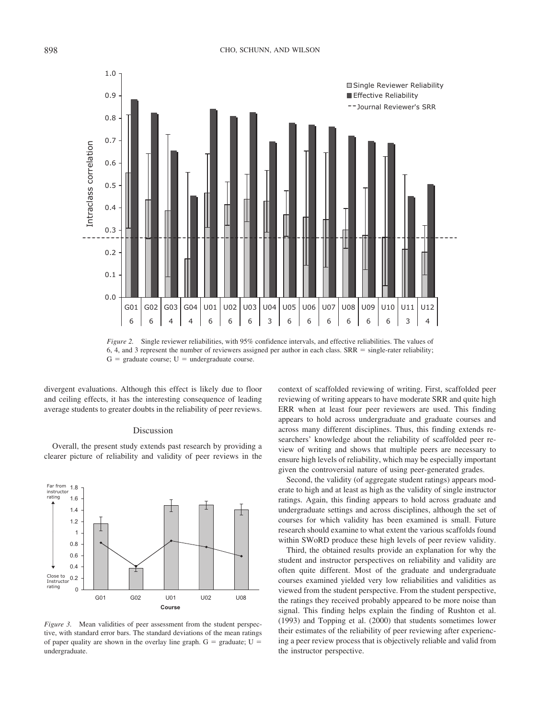

*Figure 2.* Single reviewer reliabilities, with 95% confidence intervals, and effective reliabilities. The values of 6, 4, and 3 represent the number of reviewers assigned per author in each class.  $SRR = single-rate reliability$ ;  $G =$  graduate course;  $U =$  undergraduate course.

divergent evaluations. Although this effect is likely due to floor and ceiling effects, it has the interesting consequence of leading average students to greater doubts in the reliability of peer reviews.

#### Discussion

Overall, the present study extends past research by providing a clearer picture of reliability and validity of peer reviews in the



*Figure 3.* Mean validities of peer assessment from the student perspective, with standard error bars. The standard deviations of the mean ratings of paper quality are shown in the overlay line graph.  $G =$  graduate;  $U =$ undergraduate.

context of scaffolded reviewing of writing. First, scaffolded peer reviewing of writing appears to have moderate SRR and quite high ERR when at least four peer reviewers are used. This finding appears to hold across undergraduate and graduate courses and across many different disciplines. Thus, this finding extends researchers' knowledge about the reliability of scaffolded peer review of writing and shows that multiple peers are necessary to ensure high levels of reliability, which may be especially important given the controversial nature of using peer-generated grades.

Second, the validity (of aggregate student ratings) appears moderate to high and at least as high as the validity of single instructor ratings. Again, this finding appears to hold across graduate and undergraduate settings and across disciplines, although the set of courses for which validity has been examined is small. Future research should examine to what extent the various scaffolds found within SWoRD produce these high levels of peer review validity.

Third, the obtained results provide an explanation for why the student and instructor perspectives on reliability and validity are often quite different. Most of the graduate and undergraduate courses examined yielded very low reliabilities and validities as viewed from the student perspective. From the student perspective, the ratings they received probably appeared to be more noise than signal. This finding helps explain the finding of Rushton et al. (1993) and Topping et al. (2000) that students sometimes lower their estimates of the reliability of peer reviewing after experiencing a peer review process that is objectively reliable and valid from the instructor perspective.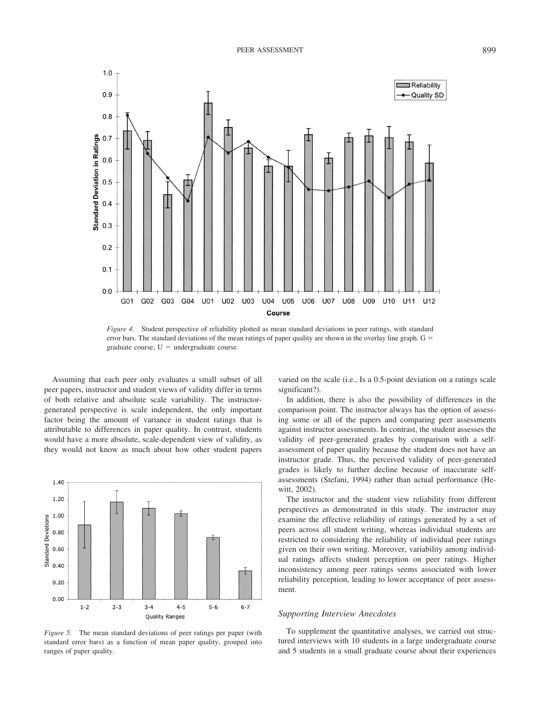

*Figure 4.* Student perspective of reliability plotted as mean standard deviations in peer ratings, with standard error bars. The standard deviations of the mean ratings of paper quality are shown in the overlay line graph.  $G =$ graduate course;  $U =$  undergraduate course.

Assuming that each peer only evaluates a small subset of all peer papers, instructor and student views of validity differ in terms of both relative and absolute scale variability. The instructorgenerated perspective is scale independent, the only important factor being the amount of variance in student ratings that is attributable to differences in paper quality. In contrast, students would have a more absolute, scale-dependent view of validity, as they would not know as much about how other student papers



*Figure 5.* The mean standard deviations of peer ratings per paper (with standard error bars) as a function of mean paper quality, grouped into ranges of paper quality.

varied on the scale (i.e., Is a 0.5-point deviation on a ratings scale significant?).

In addition, there is also the possibility of differences in the comparison point. The instructor always has the option of assessing some or all of the papers and comparing peer assessments against instructor assessments. In contrast, the student assesses the validity of peer-generated grades by comparison with a selfassessment of paper quality because the student does not have an instructor grade. Thus, the perceived validity of peer-generated grades is likely to further decline because of inaccurate selfassessments (Stefani, 1994) rather than actual performance (Hewitt, 2002).

The instructor and the student view reliability from different perspectives as demonstrated in this study. The instructor may examine the effective reliability of ratings generated by a set of peers across all student writing, whereas individual students are restricted to considering the reliability of individual peer ratings given on their own writing. Moreover, variability among individual ratings affects student perception on peer ratings. Higher inconsistency among peer ratings seems associated with lower reliability perception, leading to lower acceptance of peer assessment.

# *Supporting Interview Anecdotes*

To supplement the quantitative analyses, we carried out structured interviews with 10 students in a large undergraduate course and 5 students in a small graduate course about their experiences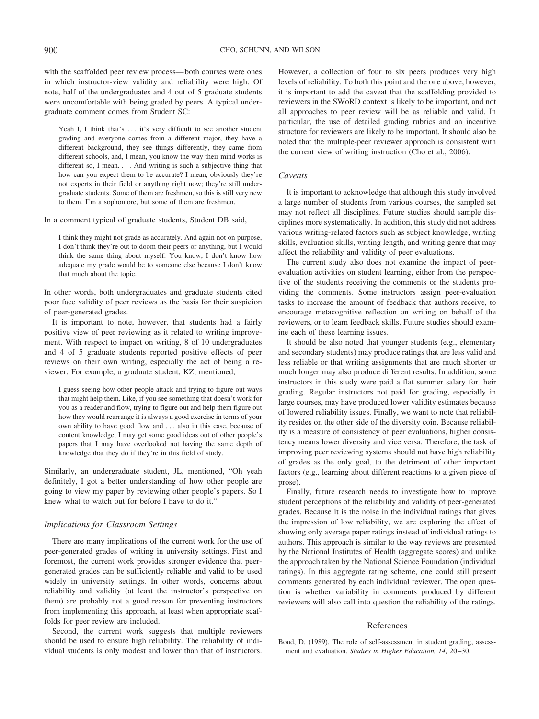with the scaffolded peer review process— both courses were ones in which instructor-view validity and reliability were high. Of note, half of the undergraduates and 4 out of 5 graduate students were uncomfortable with being graded by peers. A typical undergraduate comment comes from Student SC:

Yeah I, I think that's ... it's very difficult to see another student grading and everyone comes from a different major, they have a different background, they see things differently, they came from different schools, and, I mean, you know the way their mind works is different so, I mean. . . . And writing is such a subjective thing that how can you expect them to be accurate? I mean, obviously they're not experts in their field or anything right now; they're still undergraduate students. Some of them are freshmen, so this is still very new to them. I'm a sophomore, but some of them are freshmen.

In a comment typical of graduate students, Student DB said,

I think they might not grade as accurately. And again not on purpose, I don't think they're out to doom their peers or anything, but I would think the same thing about myself. You know, I don't know how adequate my grade would be to someone else because I don't know that much about the topic.

In other words, both undergraduates and graduate students cited poor face validity of peer reviews as the basis for their suspicion of peer-generated grades.

It is important to note, however, that students had a fairly positive view of peer reviewing as it related to writing improvement. With respect to impact on writing, 8 of 10 undergraduates and 4 of 5 graduate students reported positive effects of peer reviews on their own writing, especially the act of being a reviewer. For example, a graduate student, KZ, mentioned,

I guess seeing how other people attack and trying to figure out ways that might help them. Like, if you see something that doesn't work for you as a reader and flow, trying to figure out and help them figure out how they would rearrange it is always a good exercise in terms of your own ability to have good flow and . . . also in this case, because of content knowledge, I may get some good ideas out of other people's papers that I may have overlooked not having the same depth of knowledge that they do if they're in this field of study.

Similarly, an undergraduate student, JL, mentioned, "Oh yeah definitely, I got a better understanding of how other people are going to view my paper by reviewing other people's papers. So I knew what to watch out for before I have to do it."

## *Implications for Classroom Settings*

There are many implications of the current work for the use of peer-generated grades of writing in university settings. First and foremost, the current work provides stronger evidence that peergenerated grades can be sufficiently reliable and valid to be used widely in university settings. In other words, concerns about reliability and validity (at least the instructor's perspective on them) are probably not a good reason for preventing instructors from implementing this approach, at least when appropriate scaffolds for peer review are included.

Second, the current work suggests that multiple reviewers should be used to ensure high reliability. The reliability of individual students is only modest and lower than that of instructors. However, a collection of four to six peers produces very high levels of reliability. To both this point and the one above, however, it is important to add the caveat that the scaffolding provided to reviewers in the SWoRD context is likely to be important, and not all approaches to peer review will be as reliable and valid. In particular, the use of detailed grading rubrics and an incentive structure for reviewers are likely to be important. It should also be noted that the multiple-peer reviewer approach is consistent with the current view of writing instruction (Cho et al., 2006).

# *Caveats*

It is important to acknowledge that although this study involved a large number of students from various courses, the sampled set may not reflect all disciplines. Future studies should sample disciplines more systematically. In addition, this study did not address various writing-related factors such as subject knowledge, writing skills, evaluation skills, writing length, and writing genre that may affect the reliability and validity of peer evaluations.

The current study also does not examine the impact of peerevaluation activities on student learning, either from the perspective of the students receiving the comments or the students providing the comments. Some instructors assign peer-evaluation tasks to increase the amount of feedback that authors receive, to encourage metacognitive reflection on writing on behalf of the reviewers, or to learn feedback skills. Future studies should examine each of these learning issues.

It should be also noted that younger students (e.g., elementary and secondary students) may produce ratings that are less valid and less reliable or that writing assignments that are much shorter or much longer may also produce different results. In addition, some instructors in this study were paid a flat summer salary for their grading. Regular instructors not paid for grading, especially in large courses, may have produced lower validity estimates because of lowered reliability issues. Finally, we want to note that reliability resides on the other side of the diversity coin. Because reliability is a measure of consistency of peer evaluations, higher consistency means lower diversity and vice versa. Therefore, the task of improving peer reviewing systems should not have high reliability of grades as the only goal, to the detriment of other important factors (e.g., learning about different reactions to a given piece of prose).

Finally, future research needs to investigate how to improve student perceptions of the reliability and validity of peer-generated grades. Because it is the noise in the individual ratings that gives the impression of low reliability, we are exploring the effect of showing only average paper ratings instead of individual ratings to authors. This approach is similar to the way reviews are presented by the National Institutes of Health (aggregate scores) and unlike the approach taken by the National Science Foundation (individual ratings). In this aggregate rating scheme, one could still present comments generated by each individual reviewer. The open question is whether variability in comments produced by different reviewers will also call into question the reliability of the ratings.

## References

Boud, D. (1989). The role of self-assessment in student grading, assessment and evaluation. *Studies in Higher Education*, 14, 20-30.